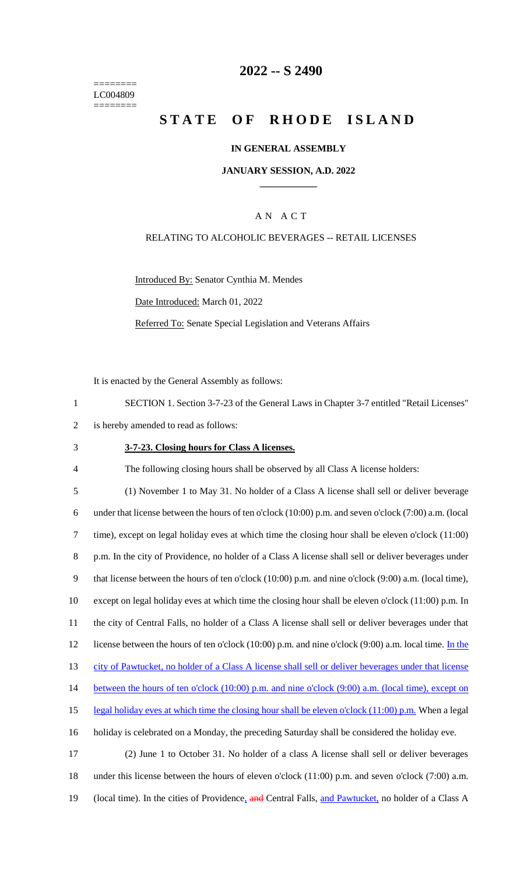======== LC004809 ========

## **2022 -- S 2490**

# **STATE OF RHODE ISLAND**

### **IN GENERAL ASSEMBLY**

#### **JANUARY SESSION, A.D. 2022 \_\_\_\_\_\_\_\_\_\_\_\_**

### A N A C T

### RELATING TO ALCOHOLIC BEVERAGES -- RETAIL LICENSES

Introduced By: Senator Cynthia M. Mendes

Date Introduced: March 01, 2022

Referred To: Senate Special Legislation and Veterans Affairs

It is enacted by the General Assembly as follows:

1 SECTION 1. Section 3-7-23 of the General Laws in Chapter 3-7 entitled "Retail Licenses"

- 2 is hereby amended to read as follows:
- 

#### 3 **3-7-23. Closing hours for Class A licenses.**

4 The following closing hours shall be observed by all Class A license holders:

 (1) November 1 to May 31. No holder of a Class A license shall sell or deliver beverage under that license between the hours of ten o'clock (10:00) p.m. and seven o'clock (7:00) a.m. (local time), except on legal holiday eves at which time the closing hour shall be eleven o'clock (11:00) p.m. In the city of Providence, no holder of a Class A license shall sell or deliver beverages under that license between the hours of ten o'clock (10:00) p.m. and nine o'clock (9:00) a.m. (local time), except on legal holiday eves at which time the closing hour shall be eleven o'clock (11:00) p.m. In the city of Central Falls, no holder of a Class A license shall sell or deliver beverages under that 12 license between the hours of ten o'clock (10:00) p.m. and nine o'clock (9:00) a.m. local time. In the city of Pawtucket, no holder of a Class A license shall sell or deliver beverages under that license 14 between the hours of ten o'clock (10:00) p.m. and nine o'clock (9:00) a.m. (local time), except on 15 legal holiday eves at which time the closing hour shall be eleven o'clock (11:00) p.m. When a legal holiday is celebrated on a Monday, the preceding Saturday shall be considered the holiday eve. (2) June 1 to October 31. No holder of a class A license shall sell or deliver beverages under this license between the hours of eleven o'clock (11:00) p.m. and seven o'clock (7:00) a.m.

19 (local time). In the cities of Providence, and Central Falls, and Pawtucket, no holder of a Class A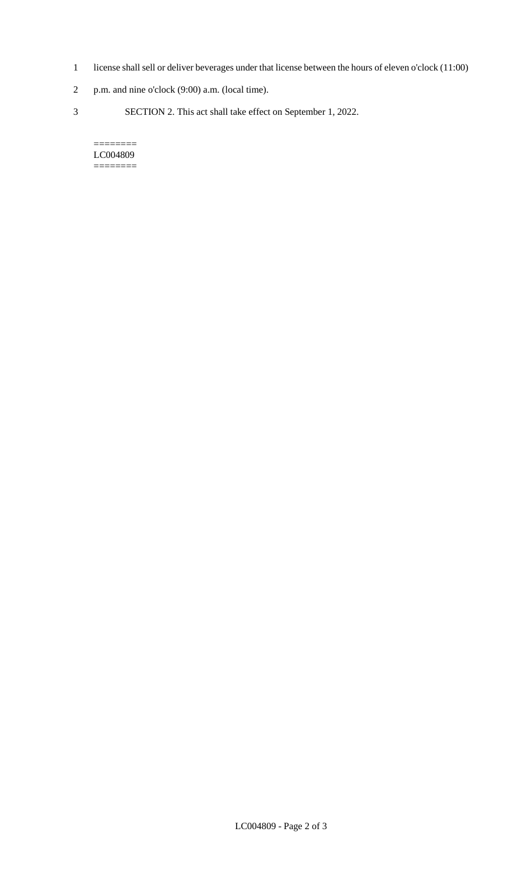- 1 license shall sell or deliver beverages under that license between the hours of eleven o'clock (11:00)
- 2 p.m. and nine o'clock (9:00) a.m. (local time).
- 3 SECTION 2. This act shall take effect on September 1, 2022.

#### $=$ LC004809 ========